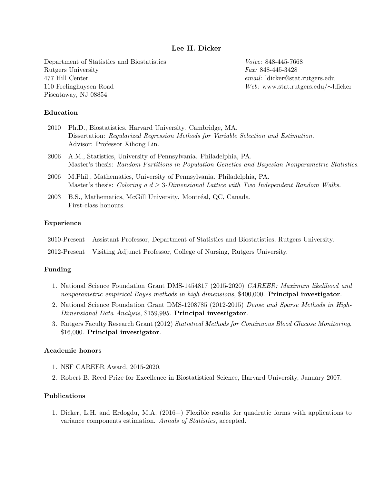# Lee H. Dicker

Department of Statistics and Biostatistics Rutgers University 477 Hill Center 110 Frelinghuysen Road Piscataway, NJ 08854

Voice: 848-445-7668 Fax: 848-445-3428 email: ldicker@stat.rutgers.edu Web: www.stat.rutgers.edu/∼ldicker

## Education

| 2010 Ph.D., Biostatistics, Harvard University. Cambridge, MA.                       |  |  |
|-------------------------------------------------------------------------------------|--|--|
| Dissertation: Regularized Regression Methods for Variable Selection and Estimation. |  |  |
| Advisor: Professor Xihong Lin.                                                      |  |  |

- 2006 A.M., Statistics, University of Pennsylvania. Philadelphia, PA. Master's thesis: Random Partitions in Population Genetics and Bayesian Nonparametric Statistics.
- 2006 M.Phil., Mathematics, University of Pennsylvania. Philadelphia, PA. Master's thesis: Coloring a  $d > 3$ -Dimensional Lattice with Two Independent Random Walks.
- 2003 B.S., Mathematics, McGill University. Montréal, QC, Canada. First-class honours.

### Experience

| 2010-Present Assistant Professor, Department of Statistics and Biostatistics, Rutgers University. |
|---------------------------------------------------------------------------------------------------|
| 2012-Present Visiting Adjunct Professor, College of Nursing, Rutgers University.                  |

## Funding

- 1. National Science Foundation Grant DMS-1454817 (2015-2020) CAREER: Maximum likelihood and nonparametric empirical Bayes methods in high dimensions, \$400,000. Principal investigator.
- 2. National Science Foundation Grant DMS-1208785 (2012-2015) Dense and Sparse Methods in High-Dimensional Data Analysis, \$159,995. Principal investigator.
- 3. Rutgers Faculty Research Grant (2012) Statistical Methods for Continuous Blood Glucose Monitoring, \$16,000. Principal investigator.

### Academic honors

- 1. NSF CAREER Award, 2015-2020.
- 2. Robert B. Reed Prize for Excellence in Biostatistical Science, Harvard University, January 2007.

## Publications

1. Dicker, L.H. and Erdogdu, M.A. (2016+) Flexible results for quadratic forms with applications to variance components estimation. Annals of Statistics, accepted.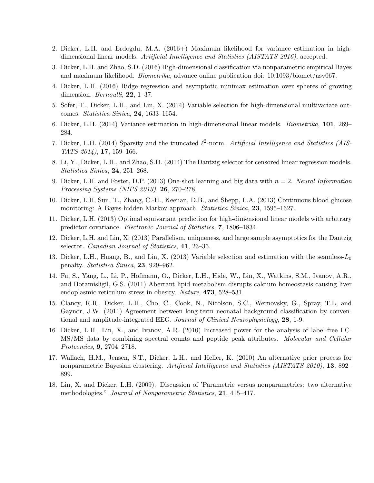- 2. Dicker, L.H. and Erdogdu, M.A. (2016+) Maximum likelihood for variance estimation in highdimensional linear models. Artificial Intelligence and Statistics (AISTATS 2016), accepted.
- 3. Dicker, L.H. and Zhao, S.D. (2016) High-dimensional classification via nonparametric empirical Bayes and maximum likelihood. Biometrika, advance online publication doi: 10.1093/biomet/asv067.
- 4. Dicker, L.H. (2016) Ridge regression and asymptotic minimax estimation over spheres of growing dimension. *Bernoulli*, **22**, 1–37.
- 5. Sofer, T., Dicker, L.H., and Lin, X. (2014) Variable selection for high-dimensional multivariate outcomes. Statistica Sinica, 24, 1633–1654.
- 6. Dicker, L.H. (2014) Variance estimation in high-dimensional linear models. Biometrika, 101, 269– 284.
- 7. Dicker, L.H. (2014) Sparsity and the truncated  $\ell^2$ -norm. Artificial Intelligence and Statistics (AIS- $TATS 2014$ , 17, 159-166.
- 8. Li, Y., Dicker, L.H., and Zhao, S.D. (2014) The Dantzig selector for censored linear regression models. Statistica Sinica, 24, 251–268.
- 9. Dicker, L.H. and Foster, D.P. (2013) One-shot learning and big data with  $n = 2$ . Neural Information Processing Systems (NIPS 2013), 26, 270–278.
- 10. Dicker, L.H, Sun, T., Zhang, C.-H., Keenan, D.B., and Shepp, L.A. (2013) Continuous blood glucose monitoring: A Bayes-hidden Markov approach. Statistica Sinica, 23, 1595–1627.
- 11. Dicker, L.H. (2013) Optimal equivariant prediction for high-dimensional linear models with arbitrary predictor covariance. Electronic Journal of Statistics, 7, 1806–1834.
- 12. Dicker, L.H. and Lin, X. (2013) Parallelism, uniqueness, and large sample asymptotics for the Dantzig selector. Canadian Journal of Statistics, 41, 23–35.
- 13. Dicker, L.H., Huang, B., and Lin, X. (2013) Variable selection and estimation with the seamless- $L_0$ penalty. Statistica Sinica, 23, 929–962.
- 14. Fu, S., Yang, L., Li, P., Hofmann, O., Dicker, L.H., Hide, W., Lin, X., Watkins, S.M., Ivanov, A.R., and Hotamisligil, G.S. (2011) Aberrant lipid metabolism disrupts calcium homeostasis causing liver endoplasmic reticulum stress in obesity. Nature, 473, 528–531.
- 15. Clancy, R.R., Dicker, L.H., Cho, C., Cook, N., Nicolson, S.C., Wernovsky, G., Spray, T.L, and Gaynor, J.W. (2011) Agreement between long-term neonatal background classification by conventional and amplitude-integrated EEG. Journal of Clinical Neurophysiology, 28, 1-9.
- 16. Dicker, L.H., Lin, X., and Ivanov, A.R. (2010) Increased power for the analysis of label-free LC-MS/MS data by combining spectral counts and peptide peak attributes. Molecular and Cellular Proteomics, 9, 2704–2718.
- 17. Wallach, H.M., Jensen, S.T., Dicker, L.H., and Heller, K. (2010) An alternative prior process for nonparametric Bayesian clustering. Artificial Intelligence and Statistics (AISTATS 2010), 13, 892– 899.
- 18. Lin, X. and Dicker, L.H. (2009). Discussion of 'Parametric versus nonparametrics: two alternative methodologies." Journal of Nonparametric Statistics, 21, 415–417.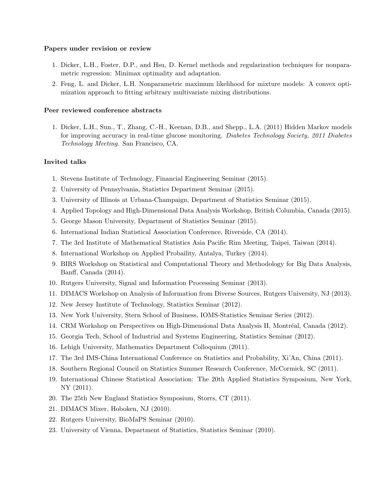### Papers under revision or review

- 1. Dicker, L.H., Foster, D.P., and Hsu, D. Kernel methods and regularization techniques for nonparametric regression: Minimax optimality and adaptation.
- 2. Feng, L. and Dicker, L.H. Nonparametric maximum likelihood for mixture models: A convex optimization approach to fitting arbitrary multivariate mixing distributions.

## Peer reviewed conference abstracts

1. Dicker, L.H., Sun., T., Zhang, C.-H., Keenan, D.B., and Shepp., L.A. (2011) Hidden Markov models for improving accuracy in real-time glucose monitoring. Diabetes Technology Society, 2011 Diabetes Technology Meeting. San Francisco, CA.

# Invited talks

- 1. Stevens Institute of Technology, Financial Engineering Seminar (2015).
- 2. University of Pennsylvania, Statistics Department Seminar (2015).
- 3. University of Illinois at Urbana-Champaign, Department of Statistics Seminar (2015).
- 4. Applied Topology and High-Dimensional Data Analysis Workshop, British Columbia, Canada (2015).
- 5. George Mason University, Department of Statistics Seminar (2015).
- 6. International Indian Statistical Association Conference, Riverside, CA (2014).
- 7. The 3rd Institute of Mathematical Statistics Asia Pacific Rim Meeting, Taipei, Taiwan (2014).
- 8. International Workshop on Applied Probaility, Antalya, Turkey (2014).
- 9. BIRS Workshop on Statistical and Computational Theory and Methodology for Big Data Analysis, Banff, Canada (2014).
- 10. Rutgers University, Signal and Information Processing Seminar (2013).
- 11. DIMACS Workshop on Analysis of Information from Diverse Sources, Rutgers University, NJ (2013).
- 12. New Jersey Institute of Technology, Statistics Seminar (2012).
- 13. New York University, Stern School of Business, IOMS-Statistics Seminar Series (2012).
- 14. CRM Workshop on Perspectives on High-Dimensional Data Analysis II, Montréal, Canada (2012).
- 15. Georgia Tech, School of Industrial and Systems Engineering, Statistics Seminar (2012).
- 16. Lehigh University, Mathematics Department Colloquium (2011).
- 17. The 3rd IMS-China International Conference on Statistics and Probability, Xi'An, China (2011).
- 18. Southern Regional Council on Statistics Summer Research Conference, McCormick, SC (2011).
- 19. International Chinese Statistical Association: The 20th Applied Statistics Symposium, New York, NY (2011).
- 20. The 25th New England Statistics Symposium, Storrs, CT (2011).
- 21. DIMACS Mixer, Hoboken, NJ (2010).
- 22. Rutgers University, BioMaPS Seminar (2010).
- 23. University of Vienna, Department of Statistics, Statistics Seminar (2010).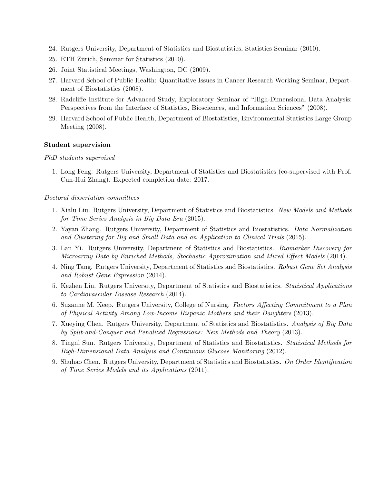- 24. Rutgers University, Department of Statistics and Biostatistics, Statistics Seminar (2010).
- 25. ETH Zürich, Seminar for Statistics (2010).
- 26. Joint Statistical Meetings, Washington, DC (2009).
- 27. Harvard School of Public Health: Quantitative Issues in Cancer Research Working Seminar, Department of Biostatistics (2008).
- 28. Radcliffe Institute for Advanced Study, Exploratory Seminar of "High-Dimensional Data Analysis: Perspectives from the Interface of Statistics, Biosciences, and Information Sciences" (2008).
- 29. Harvard School of Public Health, Department of Biostatistics, Environmental Statistics Large Group Meeting (2008).

#### Student supervision

#### PhD students supervised

1. Long Feng. Rutgers University, Department of Statistics and Biostatistics (co-supervised with Prof. Cun-Hui Zhang). Expected completion date: 2017.

#### Doctoral dissertation committees

- 1. Xialu Liu. Rutgers University, Department of Statistics and Biostatistics. New Models and Methods for Time Series Analysis in Big Data Era (2015).
- 2. Yayan Zhang. Rutgers University, Department of Statistics and Biostatistics. Data Normalization and Clustering for Big and Small Data and an Application to Clinical Trials (2015).
- 3. Lan Yi. Rutgers University, Department of Statistics and Biostatistics. Biomarker Discovery for Microarray Data by Enriched Methods, Stochastic Approximation and Mixed Effect Models (2014).
- 4. Ning Tang. Rutgers University, Department of Statistics and Biostatistics. Robust Gene Set Analysis and Robust Gene Expression (2014).
- 5. Kezhen Liu. Rutgers University, Department of Statistics and Biostatistics. Statistical Applications to Cardiovascular Disease Research (2014).
- 6. Suzanne M. Keep. Rutgers University, College of Nursing. Factors Affecting Commitment to a Plan of Physical Activity Among Low-Income Hispanic Mothers and their Daughters (2013).
- 7. Xueying Chen. Rutgers University, Department of Statistics and Biostatistics. Analysis of Big Data by Split-and-Conquer and Penalized Regressions: New Methods and Theory (2013).
- 8. Tingni Sun. Rutgers University, Department of Statistics and Biostatistics. Statistical Methods for High-Dimensional Data Analysis and Continuous Glucose Monitoring (2012).
- 9. Shuhao Chen. Rutgers University, Department of Statistics and Biostatistics. On Order Identification of Time Series Models and its Applications (2011).